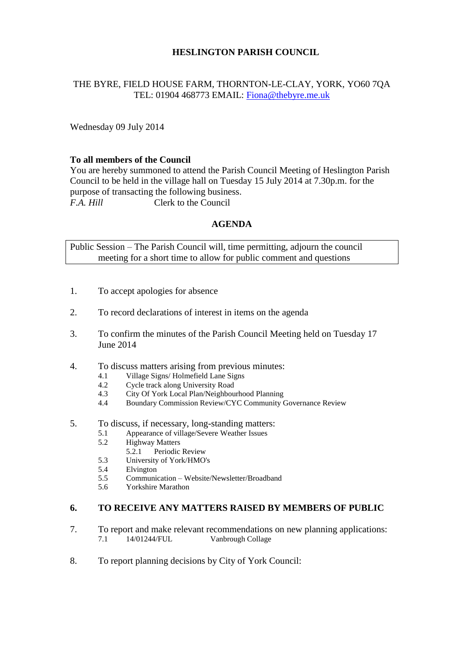# **HESLINGTON PARISH COUNCIL**

# THE BYRE, FIELD HOUSE FARM, THORNTON-LE-CLAY, YORK, YO60 7QA TEL: 01904 468773 EMAIL: [Fiona@thebyre.me.uk](mailto:Fiona@thebyre.me.uk)

Wednesday 09 July 2014

## **To all members of the Council**

You are hereby summoned to attend the Parish Council Meeting of Heslington Parish Council to be held in the village hall on Tuesday 15 July 2014 at 7.30p.m. for the purpose of transacting the following business. *F.A. Hill* Clerk to the Council

### **AGENDA**

Public Session – The Parish Council will, time permitting, adjourn the council meeting for a short time to allow for public comment and questions

- 1. To accept apologies for absence
- 2. To record declarations of interest in items on the agenda
- 3. To confirm the minutes of the Parish Council Meeting held on Tuesday 17 June 2014
- 4. To discuss matters arising from previous minutes:
	- 4.1 Village Signs/ Holmefield Lane Signs
	- 4.2 Cycle track along University Road
	- 4.3 City Of York Local Plan/Neighbourhood Planning
	- 4.4 Boundary Commission Review/CYC Community Governance Review
- 5. To discuss, if necessary, long-standing matters:
	- 5.1 Appearance of village/Severe Weather Issues
		- 5.2 Highway Matters
			- 5.2.1 Periodic Review
		- 5.3 University of York/HMO's
		- 5.4 Elvington
		- 5.5 Communication Website/Newsletter/Broadband
		- 5.6 Yorkshire Marathon

#### **6. TO RECEIVE ANY MATTERS RAISED BY MEMBERS OF PUBLIC**

- 7. To report and make relevant recommendations on new planning applications:<br>7.1 14/01244/FUL Vanbrough Collage 7.1 14/01244/FUL Vanbrough Collage
- 8. To report planning decisions by City of York Council: